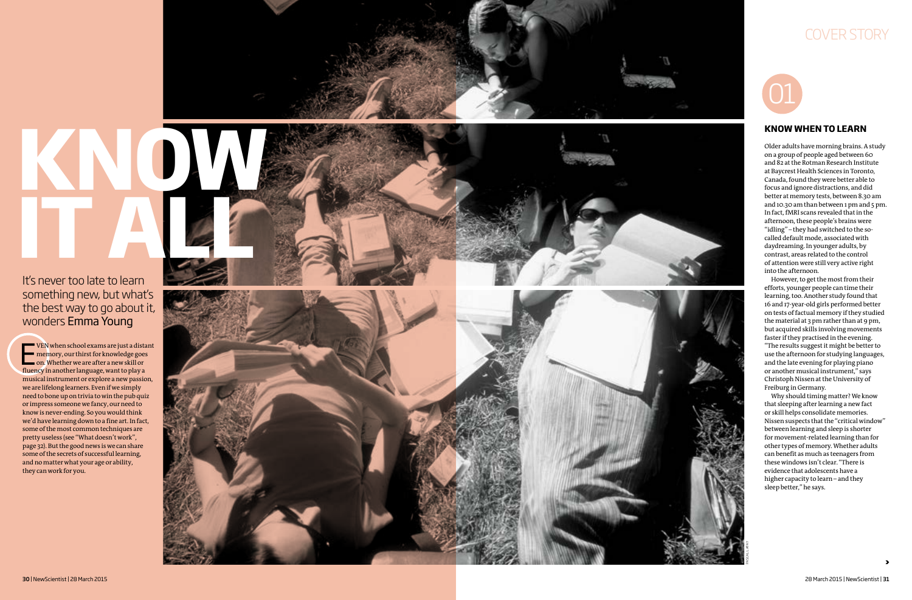#### **KNOW WHEN TO LEARN**

Older adults have morning brains. A study on a group of people aged between 60 and 82 at the Rotman Research Institute at Baycrest Health Sciences in Toronto, Canada, found they were better able to focus and ignore distractions, and did better at memory tests, between 8.30am and 10.30am than between 1 pm and 5 pm. In fact, fMRI scans revealed that in the afternoon, these people's brains were "idling"– they had switched to the socalled default mode, associated with daydreaming. In younger adults, by contrast, areas related to the control of attention were still very active right into the afternoon.

However, to get the most from their efforts, younger people can time their learning, too. Another study found that 16 and 17-year-old girls performed better on tests of factual memory if they studied the material at 3 pm rather than at 9 pm, but acquired skills involving movements faster if they practised in the evening. "The results suggest it might be better to use the afternoon for studying languages, and the late evening for playing piano or another musical instrument," says Christoph Nissen at the University of Freiburg in Germany.

VEN when school exams are just a dist<br>
memory, our thirst for knowledge goe<br>
on. Whether we are after a new skill or<br>
fluoretin another language want to play a VEN when school exams are just a distant memory, our thirst for knowledge goes fluency in another language, want to play a musical instrument or explore a new passion, we are lifelong learners. Even if we simply need to bone up on trivia to win the pub quiz or impress someone we fancy, our need to know is never-ending. So you would think we'd have learning down to a fine art. In fact, some of the most common techniques are pretty useless (see "What doesn't work", page 32). But the good news is we can share some of the secrets of successful learning, and no matter what your age or ability, they can work for you.

Why should timing matter? We know that sleeping after learning a new fact or skill helps consolidate memories. Nissen suspects that the "critical window" between learning and sleep is shorter for movement-related learning than for other types of memory. Whether adults can benefit as much as teenagers from these windows isn't clear. "There is evidence that adolescents have a higher capacity to learn – and they sleep better," he says.



It's never too late to learn something new, but what's the best way to go about it, wonders Emma Young

**KNOW BEEN** 

PASCAL LAFAY

>

# COVER STORY

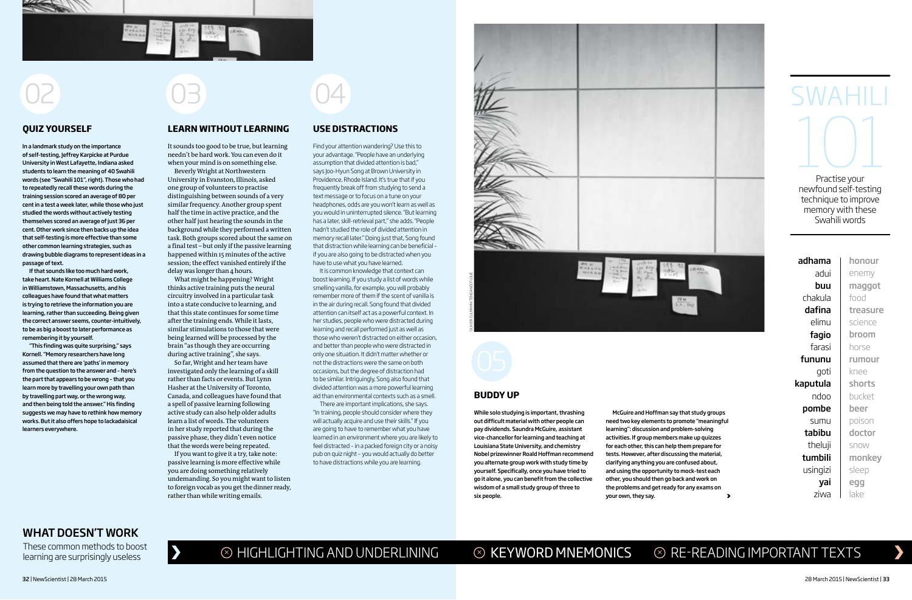

02 03 04

#### **BUDDY UP**

While solo studying is important, thrashing out difficult material with other people can pay dividends. Saundra McGuire, assistant vice-chancellor for learning and teaching at Louisiana State University, and chemistry Nobel prizewinner Roald Hoffman recommend you alternate group work with study time by yourself. Specifically, once you have tried to go it alone, you can benefit from the collective wisdom of a small study group of three to six people.

McGuire and Hoffman say that study groups need two key elements to promote "meaningful learning": discussion and problem-solving activities. If group members make up quizzes for each other, this can help them prepare for tests. However, after discussing the material, clarifying anything you are confused about, and using the opportunity to mock-test each other, you should then go back and work on the problems and get ready for any exams on your own, they say.

 $\propto$ 

#### **LEARN WITHOUT LEARNING**

So far, Wright and her team have investigated only the learning of a skill rather than facts or events. But Lynn Hasher at the University of Toronto, Canada, and colleagues have found that a spell of passive learning following active study can also help older adults learn a list of words. The volunteers in her study reported that during the passive phase, they didn't even notice that the words were being repeated.

It sounds too good to be true, but learning needn't be hard work. You can even do it when your mind is on something else.

Beverly Wright at Northwestern University in Evanston, Illinois, asked one group of volunteers to practise distinguishing between sounds of a very similar frequency. Another group spent half the time in active practice, and the other half just hearing the sounds in the background while they performed a written task. Both groups scored about the same on a final test – but only if the passive learning happened within 15 minutes of the active session; the effect vanished entirely if the delay was longer than 4 hours.

What might be happening? Wright thinks active training puts the neural circuitry involved in a particular task into a state conducive to learning, and that this state continues for some time after the training ends. While it lasts, similar stimulations to those that were being learned will be processed by the brain "as though they are occurring during active training", she says.

SWAHILI  $\boxed{\bigcup_{\text{Practise your}}}$ 

If you want to give it a try, take note: passive learning is more effective while you are doing something relatively undemanding. So you might want to listen to foreign vocab as you get the dinner ready, rather than while writing emails.

#### **USE DISTRACTIONS**

Find your attention wandering? Use this to your advantage. "People have an underlying assumption that divided attention is bad," says Joo-Hyun Song at Brown University in Providence, Rhode Island. It's true that if you frequently break off from studying to send a text message or to focus on a tune on your headphones, odds are you won't learn as well as you would in uninterrupted silence. "But learning has a later, skill-retrieval part," she adds. "People hadn't studied the role of divided attention in memory recall later." Doing just that, Song found that distraction while learning can be beneficial – if you are also going to be distracted when you have to use what you have learned.

It is common knowledge that context can boost learning. If you study a list of words while smelling vanilla, for example, you will probably remember more of them if the scent of vanilla is in the air during recall. Song found that divided attention can itself act as a powerful context. In her studies, people who were distracted during learning and recall performed just as well as those who weren't distracted on either occasion, and better than people who were distracted in only one situation. It didn't matter whether or not the distractions were the same on both occasions, but the degree of distraction had to be similar. Intriguingly, Song also found that divided attention was a more powerful learning aid than environmental contexts such as a smell.

There are important implications, she says. "In training, people should consider where they will actually acquire and use their skills." If you are going to have to remember what you have learned in an environment where you are likely to feel distracted – in a packed foreign city or a noisy pub on quiz night – you would actually do better to have distractions while you are learning.

Practise your newfound self-testing technique to improve memory with these Swahili words

adhama adui buu chakula dafina elimu fagio farasi fununu goti kaputula ndoo pombe sumu tabibu theluji tumbili usingizi yai ziwa

honour enemy maggot food treasure science broom horse rumour knee shorts bucket beer poison doctor snow monkey sleep egg lake

#### **QUIZ YOURSELF**

In a landmark study on the importance of self-testing, Jeffrey Karpicke at Purdue University in West Lafayette, Indiana asked students to learn the meaning of 40 Swahili words (see "Swahili 101", right). Those who had to repeatedly recall these words during the training session scored an average of 80 per cent in a test a week later, while those who just studied the words without actively testing themselves scored an average of just 36 per cent. Other work since then backs up the idea that self-testing is more effective than some other common learning strategies, such as drawing bubble diagrams to represent ideas in a passage of text.

If that sounds like too much hard work, take heart. Nate Kornell at Williams College in Williamstown, Massachusetts, and his colleagues have found that what matters is trying to retrieve the information you are learning, rather than succeeding. Being given the correct answer seems, counter-intuitively, to be as big a boost to later performance as remembering it by yourself.

"This finding was quite surprising," says Kornell. "Memory researchers have long assumed that there are 'paths' in memory from the question to the answer and – here's the part that appears to be wrong – that you learn more by travelling your own path than by travelling part way, or the wrong way, and then being told the answer." His finding suggests we may have to rethink how memory works. But it also offers hope to lackadaisical learners everywhere.



# $\blacktriangleright$   $\otimes$  HIGHLIGHTING AND UNDERLINING  $\otimes$  KEYWORD MNEMONICS  $\otimes$  RE-READING IMPORTANT TEXTS  $\blacktriangleright$

 $\propto$ 

 $\overline{\phantom{a}}$ 

These common methods to boost learning are surprisingly useless

## WHAT DOESN'T WORK